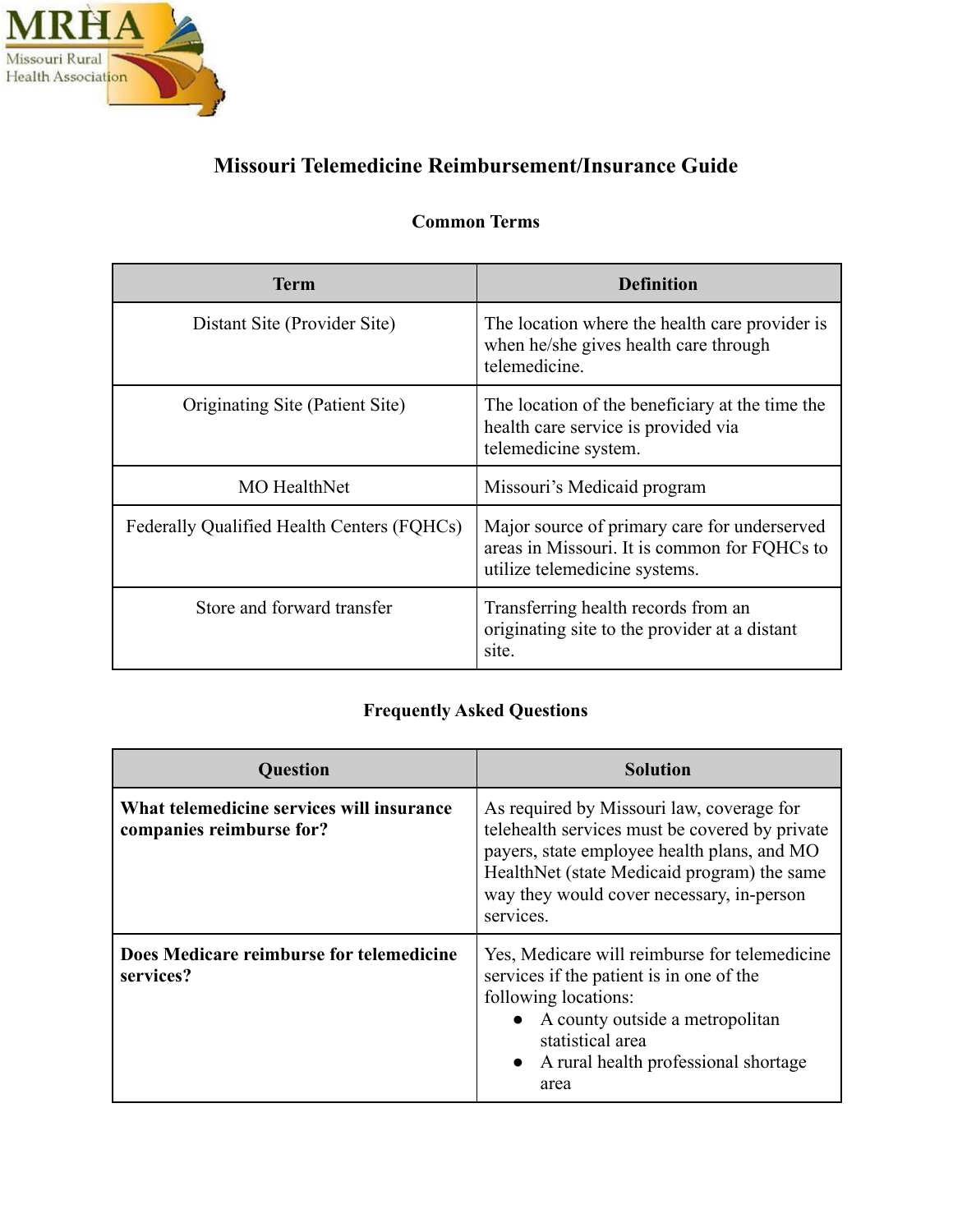

# **Missouri Telemedicine Reimbursement/Insurance Guide**

## **Common Terms**

| <b>Term</b>                                | <b>Definition</b>                                                                                                             |
|--------------------------------------------|-------------------------------------------------------------------------------------------------------------------------------|
| Distant Site (Provider Site)               | The location where the health care provider is<br>when he/she gives health care through<br>telemedicine.                      |
| Originating Site (Patient Site)            | The location of the beneficiary at the time the<br>health care service is provided via<br>telemedicine system.                |
| <b>MO</b> HealthNet                        | Missouri's Medicaid program                                                                                                   |
| Federally Qualified Health Centers (FQHCs) | Major source of primary care for underserved<br>areas in Missouri. It is common for FQHCs to<br>utilize telemedicine systems. |
| Store and forward transfer                 | Transferring health records from an<br>originating site to the provider at a distant<br>site.                                 |

## **Frequently Asked Questions**

| <b>Question</b>                                                       | Solution                                                                                                                                                                                                                                            |
|-----------------------------------------------------------------------|-----------------------------------------------------------------------------------------------------------------------------------------------------------------------------------------------------------------------------------------------------|
| What telemedicine services will insurance<br>companies reimburse for? | As required by Missouri law, coverage for<br>telehealth services must be covered by private<br>payers, state employee health plans, and MO<br>HealthNet (state Medicaid program) the same<br>way they would cover necessary, in-person<br>services. |
| Does Medicare reimburse for telemedicine<br>services?                 | Yes, Medicare will reimburse for telemedicine<br>services if the patient is in one of the<br>following locations:<br>• A county outside a metropolitan<br>statistical area<br>• A rural health professional shortage<br>area                        |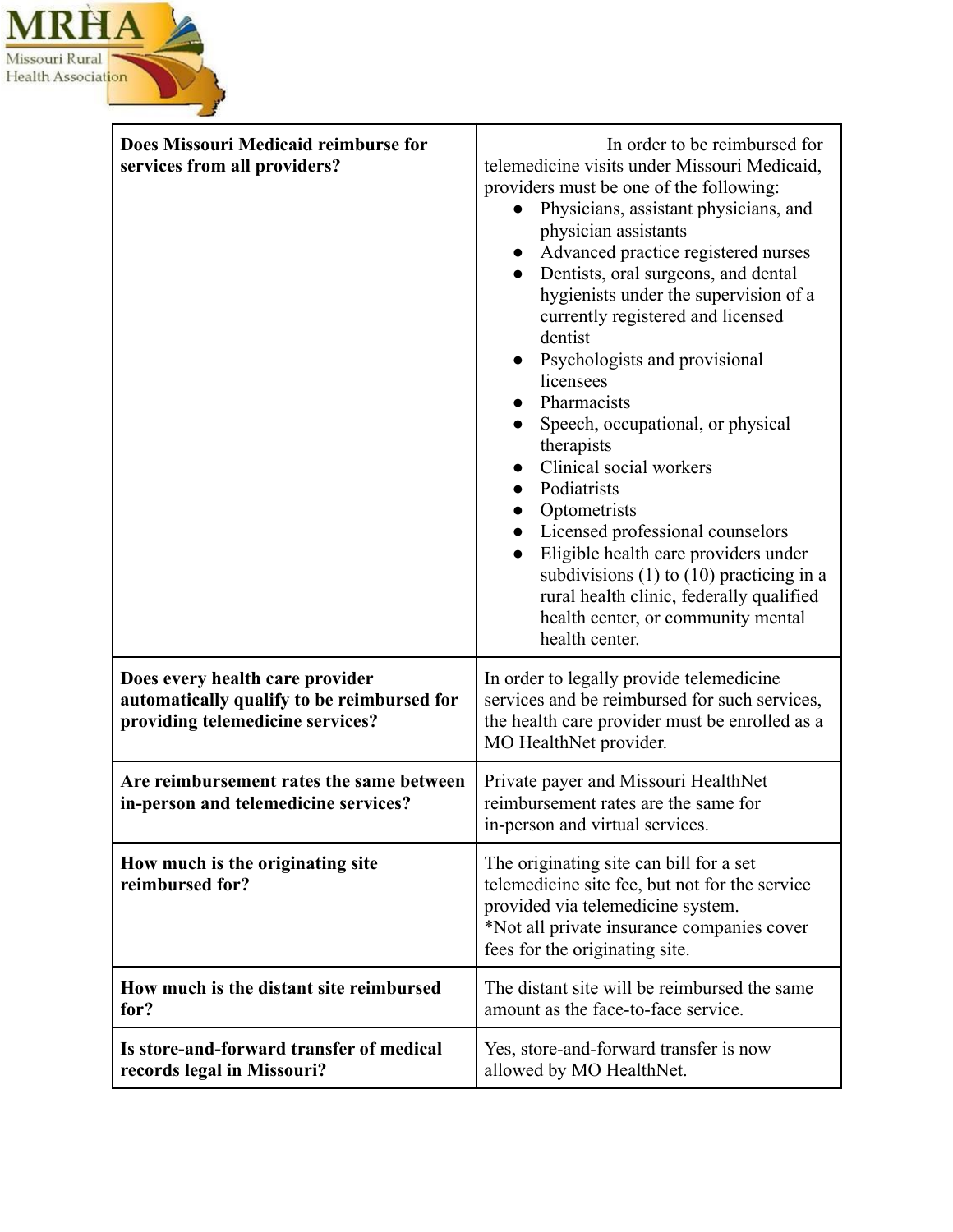

| Does Missouri Medicaid reimburse for<br>services from all providers?                                              | In order to be reimbursed for<br>telemedicine visits under Missouri Medicaid,<br>providers must be one of the following:<br>Physicians, assistant physicians, and<br>physician assistants<br>Advanced practice registered nurses<br>Dentists, oral surgeons, and dental<br>hygienists under the supervision of a<br>currently registered and licensed<br>dentist<br>Psychologists and provisional<br>$\bullet$<br>licensees<br>Pharmacists<br>Speech, occupational, or physical<br>therapists<br>Clinical social workers<br>Podiatrists<br>Optometrists<br>Licensed professional counselors<br>Eligible health care providers under<br>subdivisions $(1)$ to $(10)$ practicing in a<br>rural health clinic, federally qualified<br>health center, or community mental<br>health center. |
|-------------------------------------------------------------------------------------------------------------------|-----------------------------------------------------------------------------------------------------------------------------------------------------------------------------------------------------------------------------------------------------------------------------------------------------------------------------------------------------------------------------------------------------------------------------------------------------------------------------------------------------------------------------------------------------------------------------------------------------------------------------------------------------------------------------------------------------------------------------------------------------------------------------------------|
| Does every health care provider<br>automatically qualify to be reimbursed for<br>providing telemedicine services? | In order to legally provide telemedicine<br>services and be reimbursed for such services,<br>the health care provider must be enrolled as a<br>MO HealthNet provider.                                                                                                                                                                                                                                                                                                                                                                                                                                                                                                                                                                                                                   |
| Are reimbursement rates the same between<br>in-person and telemedicine services?                                  | Private payer and Missouri HealthNet<br>reimbursement rates are the same for<br>in-person and virtual services.                                                                                                                                                                                                                                                                                                                                                                                                                                                                                                                                                                                                                                                                         |
| How much is the originating site<br>reimbursed for?                                                               | The originating site can bill for a set<br>telemedicine site fee, but not for the service<br>provided via telemedicine system.<br>*Not all private insurance companies cover<br>fees for the originating site.                                                                                                                                                                                                                                                                                                                                                                                                                                                                                                                                                                          |
| How much is the distant site reimbursed<br>for?                                                                   | The distant site will be reimbursed the same<br>amount as the face-to-face service.                                                                                                                                                                                                                                                                                                                                                                                                                                                                                                                                                                                                                                                                                                     |
| Is store-and-forward transfer of medical<br>records legal in Missouri?                                            | Yes, store-and-forward transfer is now<br>allowed by MO HealthNet.                                                                                                                                                                                                                                                                                                                                                                                                                                                                                                                                                                                                                                                                                                                      |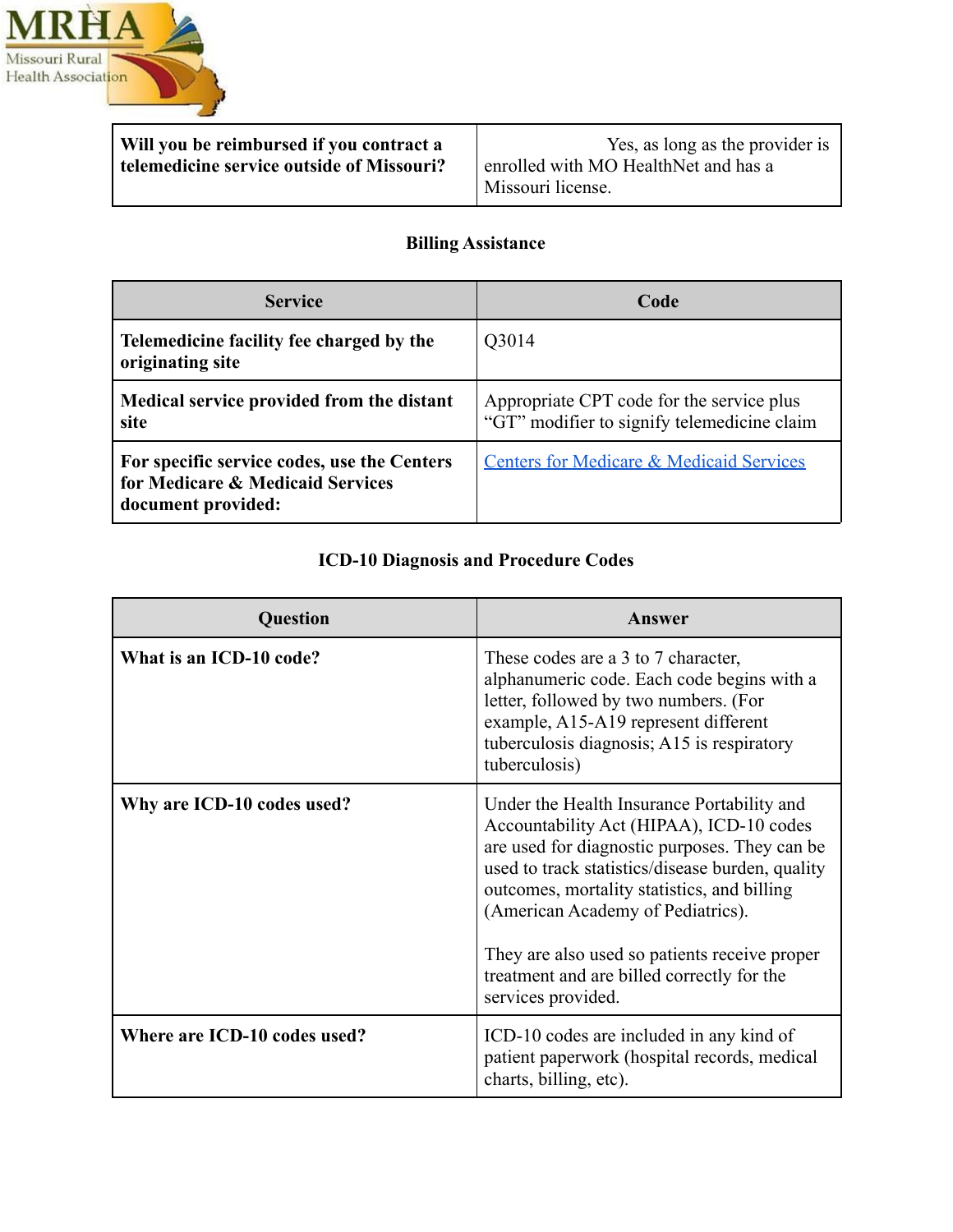

**Will you be reimbursed if you contract a telemedicine service outside of Missouri?**

Yes, as long as the provider is enrolled with MO HealthNet and has a Missouri license.

### **Billing Assistance**

| <b>Service</b>                                                                                        | Code                                                                                     |
|-------------------------------------------------------------------------------------------------------|------------------------------------------------------------------------------------------|
| Telemedicine facility fee charged by the<br>originating site                                          | Q3014                                                                                    |
| Medical service provided from the distant<br>site                                                     | Appropriate CPT code for the service plus<br>"GT" modifier to signify telemedicine claim |
| For specific service codes, use the Centers<br>for Medicare & Medicaid Services<br>document provided: | <b>Centers for Medicare &amp; Medicaid Services</b>                                      |

### **ICD-10 Diagnosis and Procedure Codes**

| <b>Question</b>              | Answer                                                                                                                                                                                                                                                                                                                                                                                               |
|------------------------------|------------------------------------------------------------------------------------------------------------------------------------------------------------------------------------------------------------------------------------------------------------------------------------------------------------------------------------------------------------------------------------------------------|
| What is an ICD-10 code?      | These codes are a 3 to 7 character,<br>alphanumeric code. Each code begins with a<br>letter, followed by two numbers. (For<br>example, A15-A19 represent different<br>tuberculosis diagnosis; A15 is respiratory<br>tuberculosis)                                                                                                                                                                    |
| Why are ICD-10 codes used?   | Under the Health Insurance Portability and<br>Accountability Act (HIPAA), ICD-10 codes<br>are used for diagnostic purposes. They can be<br>used to track statistics/disease burden, quality<br>outcomes, mortality statistics, and billing<br>(American Academy of Pediatrics).<br>They are also used so patients receive proper<br>treatment and are billed correctly for the<br>services provided. |
| Where are ICD-10 codes used? | ICD-10 codes are included in any kind of<br>patient paperwork (hospital records, medical<br>charts, billing, etc).                                                                                                                                                                                                                                                                                   |